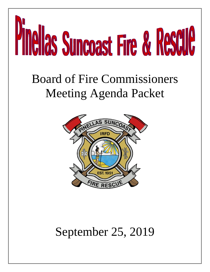

# Board of Fire Commissioners Meeting Agenda Packet



# September 25, 2019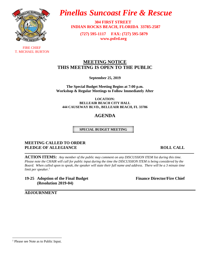

 FIRE CHIEF T. MICHAEL BURTON

### *Pinellas Suncoast Fire & Rescue*

 **304 FIRST STREET INDIAN ROCKS BEACH, FLORIDA 33785-2587**

 **(727) 595-1117 FAX: (727) 595-5879 [www.psfrd.org](http://www.psfrd.org/)**

#### **MEETING NOTICE THIS MEETING IS OPEN TO THE PUBLIC**

**September 25, 2019**

**The Special Budget Meeting Begins at 7:00 p.m. Workshop & Regular Meetings to Follow Immediately After**

**LOCATION: BELLEAIR BEACH CITY HALL 444 CAUSEWAY BLVD., BELLEAIR BEACH, FL 33786**

#### **AGENDA**

**SPECIAL BUDGET MEETING**

#### **MEETING CALLED TO ORDER PLEDGE OF ALLEGIANCE** ROLL CALL

**ACTION ITEMS:** *Any member of the public may comment on any DISCUSSION ITEM list during this time. Please note the CHAIR will call for public input during the time the DISCUSSION ITEM is being considered by the Board.* When called upon to speak, the speaker will state their full name and address. There will be a 3 minute time *limit per speaker.<sup>1</sup>*

**19-25 Adoption of the Final Budget Finance Director/Fire Chief (Resolution 2019-04)** 

**ADJOURNMENT**

<sup>&</sup>lt;sup>1</sup> Please see Note as to Public Input.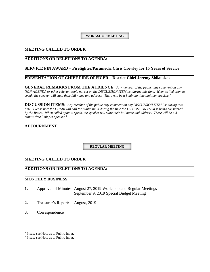**WORKSHOP MEETING**

#### **MEETING CALLED TO ORDER**

#### **ADDITIONS OR DELETIONS TO AGENDA:**

#### **SERVICE PIN AWARD – Firefighter/Paramedic Chris Crowley for 15 Years of Service**

#### **PRESENTATION OF CHIEF FIRE OFFICER – District Chief Jeremy Sidlauskas**

**GENERAL REMARKS FROM THE AUDIENCE:** *Any member of the public may comment on any NON-AGENDA or other relevant topic not set on the DISCUSSION ITEM list during this time. When called upon to speak, the speaker will state their full name and address. There will be a 3 minute time limit per speaker.<sup>2</sup>*

**DISCUSSION ITEMS:** *Any member of the public may comment on any DISCUSSION ITEM list during this time. Please note the CHAIR will call for public input during the time the DISCUSSION ITEM is being considered by the Board. When called upon to speak, the speaker will state their full name and address. There will be a 3 minute time limit per speaker.<sup>3</sup>*

#### **ADJOURNMENT**

**REGULAR MEETING**

#### **MEETING CALLED TO ORDER**

#### **ADDITIONS OR DELETIONS TO AGENDA:**

#### **MONTHLY BUSINESS**:

- **1.** Approval of Minutes: August 27, 2019 Workshop and Regular Meetings September 9, 2019 Special Budget Meeting
- **2.** Treasurer's Report: August, 2019
- **3.** Correspondence

<sup>2</sup> Please see Note as to Public Input.

<sup>3</sup> Please see Note as to Public Input.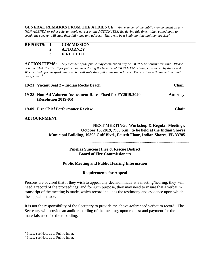**GENERAL REMARKS FROM THE AUDIENCE:** *Any member of the public may comment on any NON-AGENDA or other relevant topic not set on the ACTION ITEM list during this time. When called upon to speak, the speaker will state their full name and address. There will be a 3 minute time limit per speaker<sup>4</sup> .*

| REPORTS: 1. |    | <b>COMMISSION</b> |
|-------------|----|-------------------|
|             | 2. | <b>ATTORNEY</b>   |
|             | 3. | <b>FIRE CHIEF</b> |

**ACTION ITEMS:** *Any member of the public may comment on any ACTION ITEM during this time. Please*  note the CHAIR will call for public comment during the time the ACTION ITEM is being considered by the Board. When called upon to speak, the speaker will state their full name and address. There will be a 3 minute time limit *per speaker.<sup>5</sup>*

| 19-21 Vacant Seat 2 – Indian Rocks Beach                                              | <b>Chair</b>    |
|---------------------------------------------------------------------------------------|-----------------|
| 19-28 Non-Ad Valorem Assessment Rates Fixed for FY2019/2020<br>$(Resolution 2019-05)$ | <b>Attorney</b> |
| 19-09 Fire Chief Performance Review                                                   | <b>Chair</b>    |

#### **ADJOURNMENT**

#### **NEXT MEETING: Workshop & Regular Meetings, October 15, 2019, 7:00 p.m., to be held at the Indian Shores Municipal Building, 19305 Gulf Blvd., Fourth Floor, Indian Shores, FL 33785**

#### **Pinellas Suncoast Fire & Rescue District Board of Fire Commissioners**

#### **Public Meeting and Public Hearing Information**

#### **Requirements for Appeal**

Persons are advised that if they wish to appeal any decision made at a meeting/hearing, they will need a record of the proceedings; and for such purpose, they may need to insure that a verbatim transcript of the meeting is made, which record includes the testimony and evidence upon which the appeal is made.

It is not the responsibility of the Secretary to provide the above-referenced verbatim record. The Secretary will provide an audio recording of the meeting, upon request and payment for the materials used for the recording.

<sup>4</sup> Please see Note as to Public Input.

<sup>5</sup> Please see Note as to Public Input.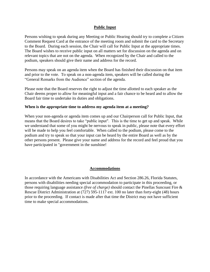#### **Public Input**

Persons wishing to speak during any Meeting or Public Hearing should try to complete a Citizen Comment Request Card at the entrance of the meeting room and submit the card to the Secretary to the Board. During each session, the Chair will call for Public Input at the appropriate times. The Board wishes to receive public input on all matters set for discussion on the agenda and on relevant topics that are not on the agenda. When recognized by the Chair and called to the podium, speakers should give their name and address for the record.

Persons may speak on an agenda item when the Board has finished their discussion on that item and prior to the vote. To speak on a non-agenda item, speakers will be called during the "General Remarks from the Audience" section of the agenda.

Please note that the Board reserves the right to adjust the time allotted to each speaker as the Chair deems proper to allow for meaningful input and a fair chance to be heard and to allow the Board fair time to undertake its duties and obligations.

#### **When is the appropriate time to address my agenda item at a meeting?**

When your non-agenda or agenda item comes up and our Chairperson call for Public Input, that means that the Board desires to take "public input". This is the time to get up and speak. While we understand that some of you might be nervous to speak in public, please note that every effort will be made to help you feel comfortable. When called to the podium, please come to the podium and try to speak so that your input can be heard by the entire Board as well as by the other persons present. Please give your name and address for the record and feel proud that you have participated in "government in the sunshine!

#### **Accommodations**

In accordance with the Americans with Disabilities Act and Section 286.26, Florida Statutes, persons with disabilities needing special accommodation to participate in this proceeding, or those requiring language assistance *(free of charge)* should contact the Pinellas Suncoast Fire & Rescue District Administration at (727) 595-1117 ext. 100 no later than forty-eight (48) hours prior to the proceeding. If contact is made after that time the District may not have sufficient time to make special accommodations.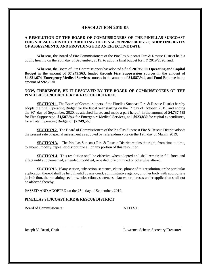#### **RESOLUTION 2019-05**

#### **A RESOLUTION OF THE BOARD OF COMMISSIONERS OF THE PINELLAS SUNCOAST FIRE & RESCUE DISTRICT ADOPTING THE FINAL 2019/2020 BUDGET; ADOPTING RATES OF ASSESSMENTS; AND PROVIDING FOR AN EFFECTIVE DATE.**

**Whereas**, the Board of Fire Commissioners of the Pinellas Suncoast Fire & Rescue District held a public hearing on the 25th day of September, 2019, to adopt a final budget for FY 2019/2020; and,

**Whereas**, the Board of Fire Commissioners has adopted a final **2019/2020 Operating and Capital Budget** in the amount of **\$7,249,563**, funded through **Fire Suppression** sources in the amount of **\$4,821,674**, **Emergency Medical Services** sources in the amount of **\$1,587,944,** and **Fund Balance** in the amount of **\$923,830**.

#### **NOW, THEREFORE, BE IT RESOLVED BY THE BOARD OF COMMISSIONERS OF THE PINELLAS SUNCOAST FIRE & RESCUE DISTRICT;**

**SECTION 1.** The Board of Commissioners of the Pinellas Suncoast Fire & Rescue District hereby adopts the final Operating Budget for the fiscal year starting on the  $1<sup>st</sup>$  day of October, 2019, and ending the 30th day of September, 2020, as attached hereto and made a part hereof, in the amount of **\$4,737,789** for Fire Suppression, **\$1,587,944** for Emergency Medical Services, and **\$923,830** for capital expenditures, for a Total Operating Budget of **\$7,249,563.**

**SECTION 2.** The Board of Commissioners of the Pinellas Suncoast Fire & Rescue District adopts the present rate of special assessment as adopted by referendum vote on the 12th day of March, 2019.

**SECTION 3.** The Pinellas Suncoast Fire & Rescue District retains the right, from time to time, to amend, modify, repeal or discontinue all or any portion of this resolution.

**SECTION 4.** This resolution shall be effective when adopted and shall remain in full force and effect until supplemented, amended, modified, repealed, discontinued or otherwise altered.

**SECTION 5**. If any section, subsection, sentence, clause, phrase of this resolution, or the particular application thereof shall be held invalid by any court, administrative agency, or other body with appropriate jurisdiction, the remaining sections, subsections, sentences, clauses, or phrases under application shall not be affected thereby.

\_\_\_\_\_\_\_\_\_\_\_\_\_\_\_\_\_\_\_\_\_\_\_\_\_\_\_\_\_\_ \_\_\_\_\_\_\_\_\_\_\_\_\_\_\_\_\_\_\_\_\_\_\_\_\_\_\_\_\_\_\_

PASSED AND ADOPTED on the 25th day of September, 2019.

#### **PINELLAS SUNCOAST FIRE & RESCUE DISTRICT**

Board of Commissioners: ATTEST:

Joseph V. Bruni, Chair Lawrence Schear, Secretary/Treasurer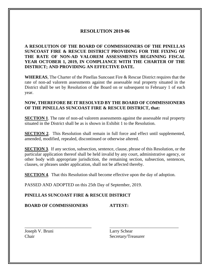#### **RESOLUTION 2019-06**

**A RESOLUTION OF THE BOARD OF COMMISSIONERS OF THE PINELLAS SUNCOAST FIRE & RESCUE DISTRICT PROVIDING FOR THE FIXING OF THE RATE OF NON-AD VALOREM ASSESSMENTS BEGINNING FISCAL YEAR OCTOBER 1, 2019, IN COMPLIANCE WITH THE CHARTER OF THE DISTRICT; AND PROVIDING AN EFFECTIVE DATE.**

**WHEREAS**, The Charter of the Pinellas Suncoast Fire & Rescue District requires that the rate of non-ad valorem assessments against the assessable real property situated in the District shall be set by Resolution of the Board on or subsequent to February 1 of each year.

#### **NOW, THEREFORE BE IT RESOLVED BY THE BOARD OF COMMISSIONERS OF THE PINELLAS SUNCOAST FIRE & RESCUE DISTRICT, that:**

**SECTION 1.** The rate of non-ad valorem assessments against the assessable real property situated in the District shall be as is shown in Exhibit 1 to the Resolution.

**SECTION 2.** This Resolution shall remain in full force and effect until supplemented, amended, modified, repealed, discontinued or otherwise altered.

**SECTION 3**. If any section, subsection, sentence, clause, phrase of this Resolution, or the particular application thereof shall be held invalid by any court, administrative agency, or other body with appropriate jurisdiction, the remaining section, subsection, sentences, clauses, or phrases under application, shall not be affected thereby.

**SECTION 4.** That this Resolution shall become effective upon the day of adoption.

\_\_\_\_\_\_\_\_\_\_\_\_\_\_\_\_\_\_\_\_\_\_\_\_\_\_\_\_\_\_ \_\_\_\_\_\_\_\_\_\_\_\_\_\_\_\_\_\_\_\_\_\_\_\_\_\_\_\_\_\_\_

PASSED AND ADOPTED on this 25th Day of September, 2019.

#### **PINELLAS SUNCOAST FIRE & RESCUE DISTRICT**

**BOARD OF COMMISSIONERS ATTEST:**

Joseph V. Bruni Larry Schear

Chair Secretary/Treasurer